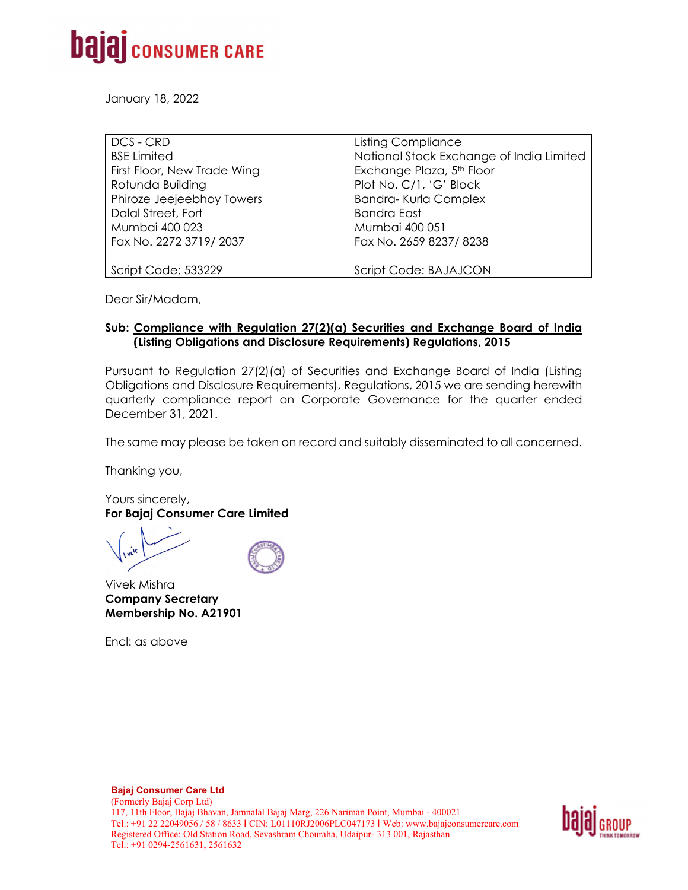

January 18, 2022

| DCS - CRD                   | <b>Listing Compliance</b>                |
|-----------------------------|------------------------------------------|
| <b>BSE Limited</b>          | National Stock Exchange of India Limited |
| First Floor, New Trade Wing | Exchange Plaza, 5 <sup>th</sup> Floor    |
| Rotunda Building            | Plot No. C/1, 'G' Block                  |
| Phiroze Jeejeebhoy Towers   | <b>Bandra-Kurla Complex</b>              |
| Dalal Street, Fort          | <b>Bandra East</b>                       |
| Mumbai 400 023              | Mumbai 400 051                           |
| Fax No. 2272 3719/2037      | Fax No. 2659 8237/8238                   |
|                             |                                          |
| Script Code: 533229         | Script Code: BAJAJCON                    |

Dear Sir/Madam,

## **Sub: Compliance with Regulation 27(2)(a) Securities and Exchange Board of India (Listing Obligations and Disclosure Requirements) Regulations, 2015**

Pursuant to Regulation 27(2)(a) of Securities and Exchange Board of India (Listing Obligations and Disclosure Requirements), Regulations, 2015 we are sending herewith quarterly compliance report on Corporate Governance for the quarter ended December 31, 2021.

The same may please be taken on record and suitably disseminated to all concerned.

Thanking you,

Yours sincerely, **For Bajaj Consumer Care Limited** 

Vivek Mishra **Company Secretary Membership No. A21901** 

Encl: as above

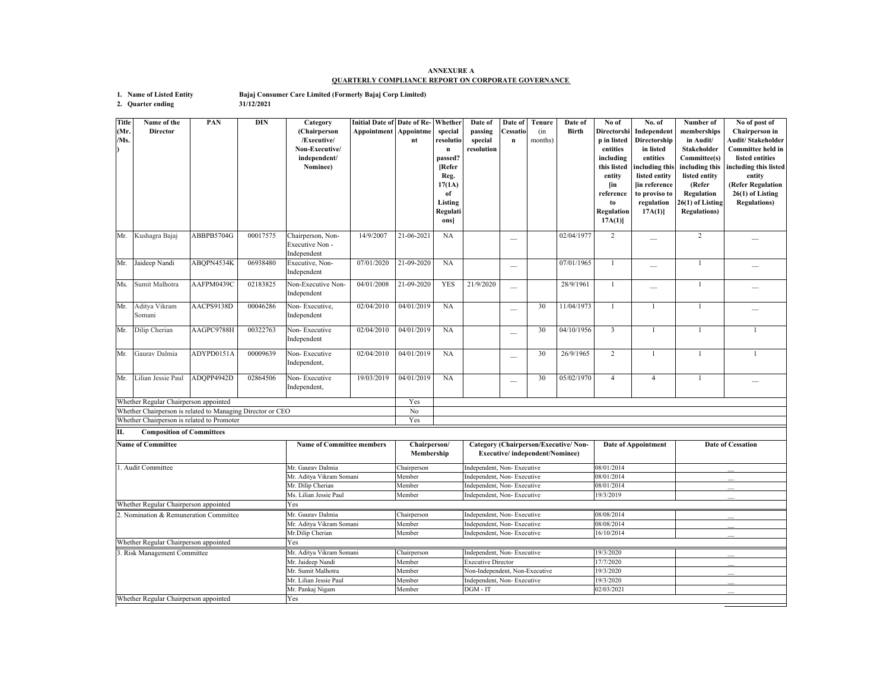## **ANNEXURE AQUARTERLY COMPLIANCE REPORT ON CORPORATE GOVERNANCE**

**1. Name of Listed Entity Bajaj Consumer Care Limited (Formerly Bajaj Corp Limited)**

**31/12/2021**

**2. Quarter ending**

**Title (Mr. /Ms.) Name of the DirectorPAN DIN Category (Chairperson /Executive/ Non-Executive/ independent/ Nominee) Initial Date of Date of Re-Appointment Appointme ntWhether special resolution passed? [Refer Reg. 17(1A) of Listing Regulati ons] Date of passing special resolutionDate of Cessation Tenure** (in months) **Date of BirthNo of Directorshi p in listed entities including this listed entity [in reference to Regulation 17A(1)] No. of Independent Directorship in listed entities including this listed entity [in reference to proviso to regulation 17A(1)] Number of memberships in Audit/ Stakeholder Committee(s) including this listed entity (Refer Regulation 26(1) of Listing Regulations) No of post of Chairperson in Audit/ Stakeholder Committee held in listed entities including this listed entity (Refer Regulation 26(1) of Listing Regulations)** Mr. Kushagra Bajaj ABBPB5704G 00017575 Chairperson, Non-Executive Non -Independent 14/9/2007 21-06-2021 NA  $02/04/1977$  2  $-$  2  $-$ Mr. Jaideep Nandi ABQPN4534K 06938480 Executive, Non-Executive, Non-<br>Independent 07/01/2020 21-09-2020 NA  $\begin{vmatrix} - & 07/01/1965 & 1 & - & 1 \\ 0 & - & 0 & 1 & - \\ 0 & 0 & 0 & 1 & 1 \end{vmatrix}$ Ms. Sumit Malhotra AAFPM0439C 02183825 Non-Executive Non-Non-Executive Non- 04/01/2008 21-09-2020 YES 21/9/2020 \_ 28/9/1961 1 \_ \_ 1 \_ 1 \_ \_ Mr. Aditya Vikram SomaniAACPS9138D 00046286 Non-Executive, Independent 02/04/2010 04/01/2019 NA  $30$  11/04/1973 1 1 1 1 1 Mr. Dilip Cherian AAGPC9788H 00322763 Non- Executive Independent 02/04/2010 04/01/2019 NA \_\_ 30 04/10/1956 3 1 1 1 Mr. Gaurav Dalmia ADYPD0151A 00009639 Non- Executive ndependent. 02/04/2010 04/01/2019 NA \_\_ 30 26/9/1965 2 1 1 1 Mr. Lilian Jessie Paul ADQPP4942D 02864506 Non- Executive Independent, 19/03/2019 04/01/2019 NA  $30 \t 05/02/1970 \t 4 \t 4 \t 1 \t 1$ Yes No Yes Whether Regular Chairperson appointed Yes Whether Regular Chairperson appointed Yes Whether Regular Chairperson appointed Yes 3. Risk Management Committee Mr. Lilian Jessie Paul Member Independent, Non- Executive 19/3/2020<br>
19/3/2020 Mr. Pankaj Nigam Member DGM - IT 20/03/2021 Mr. Sumit Malhotra Member Non-Independent, Non-Executive Chairperson Independent, Non- Executive 19/3/2020 Mr. Jaideep Nandi Member Executive Director 17/7/2020 2. Nomination & Remuneration Committee19/3/2020 Mr. Aditya Vikram Somani Mr. Aditya Vikram Somani Member Independent, Non- Executive 08/08/2014<br>Mr. Dilip Cherian Member Independent, Non- Executive 16/10/2014 Independent, Non- Executive Mr. Gaurav Dalmia Chairperson Independent, Non- Executive 08/08/2014 Ms. Lilian Jessie PaulMember Independent, Non- Executive 19/3/2019 1. Audit CommitteeMr. Gaurav Dalmia **Chairperson** Independent, Non- Executive 08/01/2014 Mr. Aditya Vikram Somani Member **Independent, Non- Executive** 08/01/2014<br>Mr. Dilip Cherian Member **Independent, Non- Executive** 08/01/2014 Member Independent, Non- Executive Whether Regular Chairperson appointed Whether Chairperson is related to Promoter **II. Composition of Committees Name of Committee Name of Committee members Chairperson/ Membership Category (Chairperson/Executive/ Non-Executive/ Independent/Nominee) Date of Appointment Date of Cessation Executive/ independent/Nominee**) Whether Chairperson is related to Managing Director or CEO Mr. Pankaj Nigam Member DGM - IT 02/03/2021 \_\_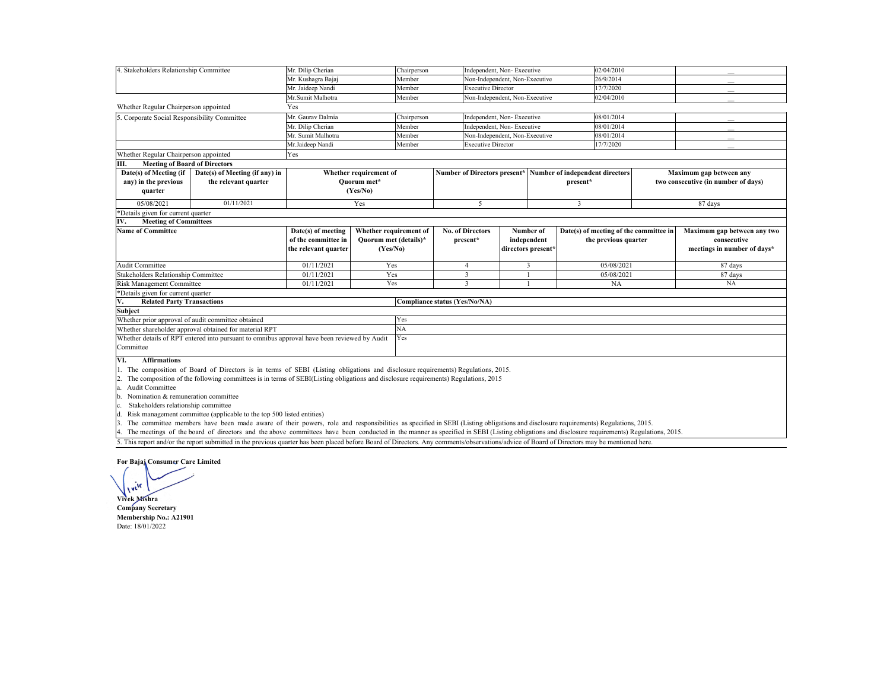| 4. Stakeholders Relationship Committee                                                                                                                                                          |                                                                       | Mr. Dilip Cherian                            | Chairperson                                  |             |                                                              | Independent, Non-Executive     |                                        | 02/04/2010              |                             |                                     |  |
|-------------------------------------------------------------------------------------------------------------------------------------------------------------------------------------------------|-----------------------------------------------------------------------|----------------------------------------------|----------------------------------------------|-------------|--------------------------------------------------------------|--------------------------------|----------------------------------------|-------------------------|-----------------------------|-------------------------------------|--|
|                                                                                                                                                                                                 |                                                                       | Mr. Kushagra Bajaj                           |                                              | Member      |                                                              | Non-Independent, Non-Executive |                                        | 26/9/2014               |                             |                                     |  |
|                                                                                                                                                                                                 |                                                                       | Mr. Jaideep Nandi                            | Member                                       |             |                                                              | <b>Executive Director</b>      |                                        | 17/7/2020               |                             |                                     |  |
| Mr.Sumit Malhotra<br>Member                                                                                                                                                                     |                                                                       |                                              | Non-Independent, Non-Executive<br>02/04/2010 |             |                                                              |                                |                                        |                         |                             |                                     |  |
| Whether Regular Chairperson appointed                                                                                                                                                           |                                                                       | Yes                                          |                                              |             |                                                              |                                |                                        |                         |                             |                                     |  |
| 5. Corporate Social Responsibility Committee                                                                                                                                                    |                                                                       | Mr. Gauray Dalmia                            |                                              | Chairperson |                                                              | Independent, Non-Executive     |                                        | 08/01/2014              |                             |                                     |  |
|                                                                                                                                                                                                 |                                                                       | Mr. Dilip Cherian                            |                                              | Member      |                                                              | Independent, Non-Executive     |                                        | 08/01/2014              |                             |                                     |  |
|                                                                                                                                                                                                 |                                                                       | Mr. Sumit Malhotra                           |                                              | Member      |                                                              | Non-Independent, Non-Executive |                                        | 08/01/2014              |                             |                                     |  |
|                                                                                                                                                                                                 |                                                                       | Mr.Jaideep Nandi                             |                                              | Member      | <b>Executive Director</b>                                    |                                |                                        | 17/7/2020               |                             |                                     |  |
| Whether Regular Chairperson appointed                                                                                                                                                           |                                                                       | Yes                                          |                                              |             |                                                              |                                |                                        |                         |                             |                                     |  |
| Ш.<br><b>Meeting of Board of Directors</b>                                                                                                                                                      |                                                                       |                                              |                                              |             |                                                              |                                |                                        |                         |                             |                                     |  |
| Date(s) of Meeting (if                                                                                                                                                                          | Date(s) of Meeting (if any) in                                        |                                              | Whether requirement of                       |             | Number of Directors present* Number of independent directors |                                |                                        |                         |                             | Maximum gap between any             |  |
| any) in the previous                                                                                                                                                                            | the relevant quarter                                                  |                                              | Ouorum met*                                  |             |                                                              |                                |                                        | present*                |                             | two consecutive (in number of days) |  |
| quarter                                                                                                                                                                                         |                                                                       |                                              | (Yes/No)                                     |             |                                                              |                                |                                        |                         |                             |                                     |  |
| 05/08/2021                                                                                                                                                                                      | 01/11/2021                                                            |                                              | Yes                                          |             | 5                                                            |                                |                                        | $\overline{\mathbf{3}}$ | 87 days                     |                                     |  |
| *Details given for current quarter                                                                                                                                                              |                                                                       |                                              |                                              |             |                                                              |                                |                                        |                         |                             |                                     |  |
| IV.<br><b>Meeting of Committees</b>                                                                                                                                                             |                                                                       |                                              |                                              |             |                                                              |                                |                                        |                         |                             |                                     |  |
| <b>Name of Committee</b>                                                                                                                                                                        |                                                                       | Whether requirement of<br>Date(s) of meeting |                                              |             | <b>No. of Directors</b><br>Number of                         |                                | Date(s) of meeting of the committee in |                         | Maximum gap between any two |                                     |  |
|                                                                                                                                                                                                 |                                                                       | of the committee in                          | Ouorum met (details)*                        |             | present*                                                     | independent                    | the previous quarter                   |                         |                             | consecutive                         |  |
|                                                                                                                                                                                                 |                                                                       | the relevant quarter                         | (Yes/No)                                     |             |                                                              |                                | directors present*                     |                         |                             | meetings in number of days*         |  |
|                                                                                                                                                                                                 |                                                                       | 01/11/2021                                   |                                              |             |                                                              |                                |                                        |                         |                             |                                     |  |
| <b>Audit Committee</b>                                                                                                                                                                          |                                                                       |                                              | Yes                                          |             | $\overline{4}$                                               |                                | 3                                      | 05/08/2021              |                             | 87 days                             |  |
| Stakeholders Relationship Committee                                                                                                                                                             |                                                                       | 01/11/2021                                   | Yes                                          |             | $\overline{3}$                                               |                                |                                        | 05/08/2021              |                             | 87 days                             |  |
| Risk Management Committee                                                                                                                                                                       |                                                                       | 01/11/2021                                   | Yes                                          |             | $\overline{\mathbf{3}}$                                      |                                |                                        | NA                      |                             | <b>NA</b>                           |  |
| *Details given for current quarter<br><b>Related Party Transactions</b>                                                                                                                         |                                                                       |                                              |                                              |             |                                                              |                                |                                        |                         |                             |                                     |  |
| V.<br><b>Subject</b>                                                                                                                                                                            |                                                                       |                                              |                                              |             | Compliance status (Yes/No/NA)                                |                                |                                        |                         |                             |                                     |  |
|                                                                                                                                                                                                 |                                                                       |                                              |                                              | Yes         |                                                              |                                |                                        |                         |                             |                                     |  |
| Whether prior approval of audit committee obtained                                                                                                                                              |                                                                       |                                              |                                              | NA          |                                                              |                                |                                        |                         |                             |                                     |  |
| Whether shareholder approval obtained for material RPT                                                                                                                                          |                                                                       |                                              |                                              | Yes         |                                                              |                                |                                        |                         |                             |                                     |  |
| Whether details of RPT entered into pursuant to omnibus approval have been reviewed by Audit<br>Committee                                                                                       |                                                                       |                                              |                                              |             |                                                              |                                |                                        |                         |                             |                                     |  |
|                                                                                                                                                                                                 |                                                                       |                                              |                                              |             |                                                              |                                |                                        |                         |                             |                                     |  |
| VI.<br><b>Affirmations</b>                                                                                                                                                                      |                                                                       |                                              |                                              |             |                                                              |                                |                                        |                         |                             |                                     |  |
| 1. The composition of Board of Directors is in terms of SEBI (Listing obligations and disclosure requirements) Regulations, 2015.                                                               |                                                                       |                                              |                                              |             |                                                              |                                |                                        |                         |                             |                                     |  |
| The composition of the following committees is in terms of SEBI(Listing obligations and disclosure requirements) Regulations, 2015                                                              |                                                                       |                                              |                                              |             |                                                              |                                |                                        |                         |                             |                                     |  |
| Audit Committee<br>a.                                                                                                                                                                           |                                                                       |                                              |                                              |             |                                                              |                                |                                        |                         |                             |                                     |  |
| Nomination & remuneration committee<br>b.                                                                                                                                                       |                                                                       |                                              |                                              |             |                                                              |                                |                                        |                         |                             |                                     |  |
| Stakeholders relationship committee<br>c.                                                                                                                                                       |                                                                       |                                              |                                              |             |                                                              |                                |                                        |                         |                             |                                     |  |
| d.                                                                                                                                                                                              | Risk management committee (applicable to the top 500 listed entities) |                                              |                                              |             |                                                              |                                |                                        |                         |                             |                                     |  |
| $\mathbf{3}$<br>The committee members have been made aware of their nowers, role and responsibilities as specified in SEBI (Listing obligations and disclosure requirements) Regulations, 2015. |                                                                       |                                              |                                              |             |                                                              |                                |                                        |                         |                             |                                     |  |

3. The committee members have been made aware of their powers, role and responsibilities as specified in SEBI (Listing obligations and disclosure requirements) Regulations, 2015.<br>4. The meetings of the board of directors a

5. This report and/or the report submitted in the previous quarter has been placed before Board of Directors. Any comments/observations/advice of Board of Directors may be mentioned here.

## **For Bajaj Consumer Care Limited**

**Vivek Mishra Company Secretary Membership No.: A21901** Date: 18/01/2022